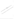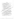## ปรรณานุกรม

ิกระมล ทองธรรมชาติและคณะ. (2525). <mark>การทำงานในระบบคณะกรรมการ.</mark> กรุงเทพฯ : การวิจัยของสำนักงานคณะกรรมการข้าราชการพลเรือน. กำจัด สวัสดิโอ. (2514). วิชาชีพและวี่ชาชีวิต. กรุงเทพฯ. กำธร กิดดิภูมิชัย. (2524). บทบาทขอ<mark>งคณะกรรมการกับการบริหารราชการไทย.</mark> ศูนย์การศึกษา. 17 : 61 - 78 กรกฎาคม – สิงหาคม. ชนินทร์ พิทยาวิวิธ. (2533). ธนาคารพานิชย์ใช้มาตรการอะไรในการพิจารณา ี่ ปล่อยสินเชื่อ. หน้า คำขวัญ. ชุลีพร เปี่ยมสมบูรณ์. (2539) ธนาคารอ<mark>อมสิน. ที่ ผห. 1257/2539, เรื่องโ</mark>ม่พิความจากการ บรรยายพิเศษหัวข้อวิสัยทัศน์การตลาดกับก้าวใหม่ธุนงคารออมสิน. ิลงวันที่ 26 พฤศจิกายน. ดวงพร ดลอดพงษ์ (2541). บทคัดย่อ ตาวมดิติเห็นของชาวบ้านต่อการดำเนิน กิจกรรมกลุ่มออมทรัพย์เพื่อการผลิตอำเภอสูงเนินจังหวัดนครราชสีมา. วิทยานิพนธ์ปริญญามุหัวบัณฑิต มหาสารคาม : มหาวิทยาลัยมีพาสจรดาม. เติม แย้มเสมอ. (2524) ทรัพริหารการประถมศึกษาในรูปคณะกรรมการ. กรุงเทพฯ : อักษรสมัย ธงชัย สันติวสห์ (2519). การจัดองค์การและการบริหรัฐ กรุงเทพฯ : ไทยวัฒนาพานิช. ห้าฎเฉลียง ดูมิวรังค์และคณะ. (2516). การนั้นหิศกัจริศึกษา. กรุงเทพฯ : มิดรสยาม. ปิจะจาบ อุ่นเคียร. (2528). การศึกษาบริหารงานที่ปฏิบัติจริง<mark>และที่ควรปฏิบัติของคณะ</mark> กรรมการกลุ่มโรงเรียนไม้ธยมศึกษา สังกัดกรมสามัญศึกษา เขตการศึกษา 3. วิทยานิพนธุ์ปริญญามหาบัณฑิต สงขลา : มหาวิทยาลัยศรีนครินทรวิโรฒ สงขลา. น่องพรรณ เกิดพิทักษ์ (2530). สุขภาพจิตเบื้องต้น. กรุงเทพฯ : บัณฑิตการพิมพ์. พนัส หันนิ่งคืนทรั้ง (2537). หลักการบริหารโรงเรียน. กรุงเทพฯ : วัฒนาพานิช. ้ฬยิงศักดิ์ นามวรรณ. (2537). **ความพึงพอใจในการปฏิบัติหน้าที่สืบสานของเจ้าหน้าที่** ้ตำรวจชั้**นประทวนในสถานีตำรวจภูธรจังหวัดขอนแก่น.** วิทยานิพนธ์ปริญญา มหาบัณฑิต ขอนแก่น : มห่าวิทยาลัยขอนแก่น.

้ภิญโญ สาธร. (2537). **หลักการบริหารการศึกษา.** พิมพ์ครั้งที่ 3. กรุงเทพฯ : วัฒนาพานิช. มังกร ชัยชนะตารา. (2520). วิธีการดำเนินงานการประชุมแบบรัฐสภา. กรุงเทพฯ : ไทยวัฒนาพานิช